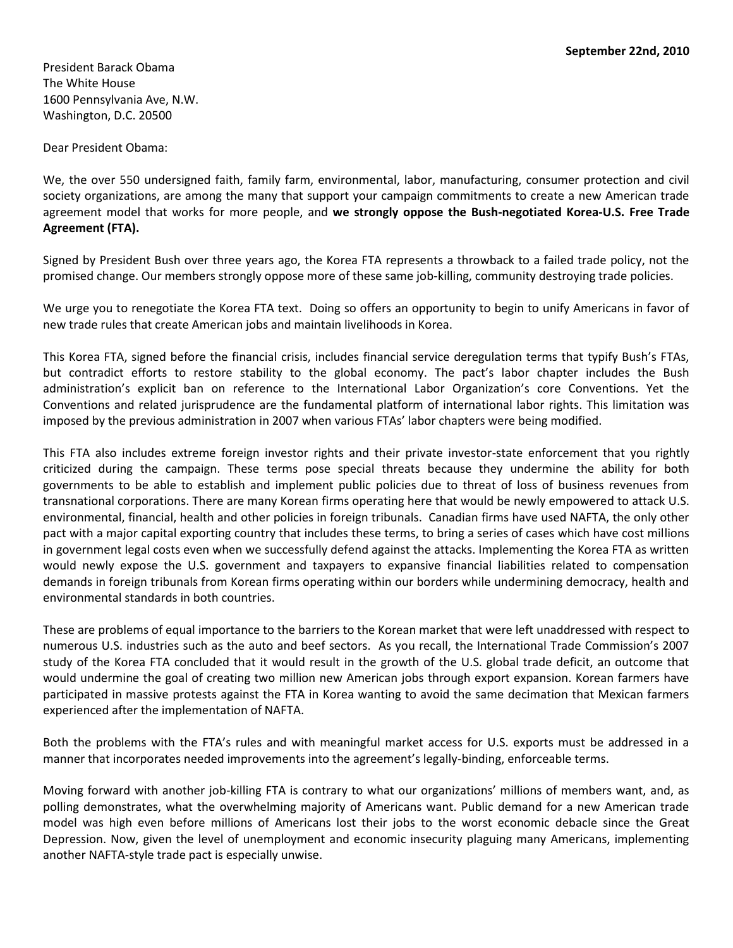President Barack Obama The White House 1600 Pennsylvania Ave, N.W. Washington, D.C. 20500

Dear President Obama:

We, the over 550 undersigned faith, family farm, environmental, labor, manufacturing, consumer protection and civil society organizations, are among the many that support your campaign commitments to create a new American trade agreement model that works for more people, and **we strongly oppose the Bush-negotiated Korea-U.S. Free Trade Agreement (FTA).** 

Signed by President Bush over three years ago, the Korea FTA represents a throwback to a failed trade policy, not the promised change. Our members strongly oppose more of these same job-killing, community destroying trade policies.

We urge you to renegotiate the Korea FTA text. Doing so offers an opportunity to begin to unify Americans in favor of new trade rules that create American jobs and maintain livelihoods in Korea.

This Korea FTA, signed before the financial crisis, includes financial service deregulation terms that typify Bush's FTAs, but contradict efforts to restore stability to the global economy. The pact's labor chapter includes the Bush administration's explicit ban on reference to the International Labor Organization's core Conventions. Yet the Conventions and related jurisprudence are the fundamental platform of international labor rights. This limitation was imposed by the previous administration in 2007 when various FTAs' labor chapters were being modified.

This FTA also includes extreme foreign investor rights and their private investor-state enforcement that you rightly criticized during the campaign. These terms pose special threats because they undermine the ability for both governments to be able to establish and implement public policies due to threat of loss of business revenues from transnational corporations. There are many Korean firms operating here that would be newly empowered to attack U.S. environmental, financial, health and other policies in foreign tribunals. Canadian firms have used NAFTA, the only other pact with a major capital exporting country that includes these terms, to bring a series of cases which have cost millions in government legal costs even when we successfully defend against the attacks. Implementing the Korea FTA as written would newly expose the U.S. government and taxpayers to expansive financial liabilities related to compensation demands in foreign tribunals from Korean firms operating within our borders while undermining democracy, health and environmental standards in both countries.

These are problems of equal importance to the barriers to the Korean market that were left unaddressed with respect to numerous U.S. industries such as the auto and beef sectors. As you recall, the International Trade Commission's 2007 study of the Korea FTA concluded that it would result in the growth of the U.S. global trade deficit, an outcome that would undermine the goal of creating two million new American jobs through export expansion. Korean farmers have participated in massive protests against the FTA in Korea wanting to avoid the same decimation that Mexican farmers experienced after the implementation of NAFTA.

Both the problems with the FTA's rules and with meaningful market access for U.S. exports must be addressed in a manner that incorporates needed improvements into the agreement's legally-binding, enforceable terms.

Moving forward with another job-killing FTA is contrary to what our organizations' millions of members want, and, as polling demonstrates, what the overwhelming majority of Americans want. Public demand for a new American trade model was high even before millions of Americans lost their jobs to the worst economic debacle since the Great Depression. Now, given the level of unemployment and economic insecurity plaguing many Americans, implementing another NAFTA-style trade pact is especially unwise.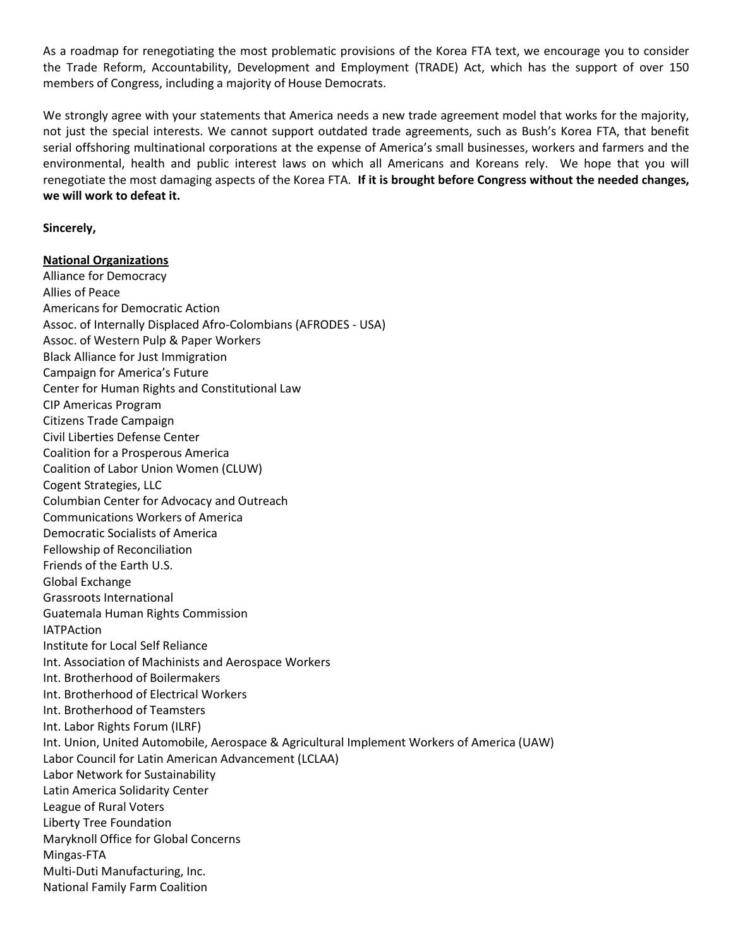As a roadmap for renegotiating the most problematic provisions of the Korea FTA text, we encourage you to consider the Trade Reform, Accountability, Development and Employment (TRADE) Act, which has the support of over 150 members of Congress, including a majority of House Democrats.

We strongly agree with your statements that America needs a new trade agreement model that works for the majority, not just the special interests. We cannot support outdated trade agreements, such as Bush's Korea FTA, that benefit serial offshoring multinational corporations at the expense of America's small businesses, workers and farmers and the environmental, health and public interest laws on which all Americans and Koreans rely. We hope that you will renegotiate the most damaging aspects of the Korea FTA. **If it is brought before Congress without the needed changes, we will work to defeat it.**

## **Sincerely,**

## **National Organizations**

Alliance for Democracy Allies of Peace Americans for Democratic Action Assoc. of Internally Displaced Afro-Colombians (AFRODES - USA) Assoc. of Western Pulp & Paper Workers Black Alliance for Just Immigration Campaign for America's Future Center for Human Rights and Constitutional Law CIP Americas Program Citizens Trade Campaign Civil Liberties Defense Center Coalition for a Prosperous America Coalition of Labor Union Women (CLUW) Cogent Strategies, LLC Columbian Center for Advocacy and Outreach Communications Workers of America Democratic Socialists of America Fellowship of Reconciliation Friends of the Earth U.S. Global Exchange Grassroots International Guatemala Human Rights Commission **IATPAction** Institute for Local Self Reliance Int. Association of Machinists and Aerospace Workers Int. Brotherhood of Boilermakers Int. Brotherhood of Electrical Workers Int. Brotherhood of Teamsters Int. Labor Rights Forum (ILRF) Int. Union, United Automobile, Aerospace & Agricultural Implement Workers of America (UAW) Labor Council for Latin American Advancement (LCLAA) Labor Network for Sustainability Latin America Solidarity Center League of Rural Voters Liberty Tree Foundation Maryknoll Office for Global Concerns Mingas-FTA Multi-Duti Manufacturing, Inc. National Family Farm Coalition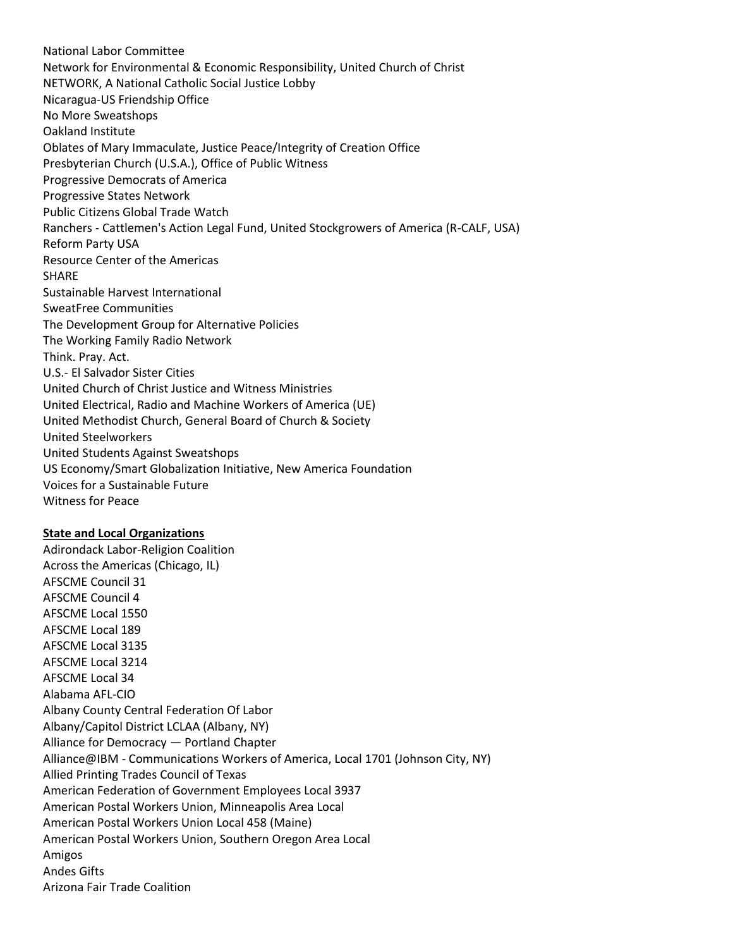National Labor Committee Network for Environmental & Economic Responsibility, United Church of Christ NETWORK, A National Catholic Social Justice Lobby Nicaragua-US Friendship Office No More Sweatshops Oakland Institute Oblates of Mary Immaculate, Justice Peace/Integrity of Creation Office Presbyterian Church (U.S.A.), Office of Public Witness Progressive Democrats of America Progressive States Network Public Citizens Global Trade Watch Ranchers - Cattlemen's Action Legal Fund, United Stockgrowers of America (R-CALF, USA) Reform Party USA Resource Center of the Americas SHARE Sustainable Harvest International SweatFree Communities The Development Group for Alternative Policies The Working Family Radio Network Think. Pray. Act. U.S.- El Salvador Sister Cities United Church of Christ Justice and Witness Ministries United Electrical, Radio and Machine Workers of America (UE) United Methodist Church, General Board of Church & Society United Steelworkers United Students Against Sweatshops US Economy/Smart Globalization Initiative, New America Foundation Voices for a Sustainable Future Witness for Peace

## **State and Local Organizations**

Adirondack Labor-Religion Coalition Across the Americas (Chicago, IL) AFSCME Council 31 AFSCME Council 4 AFSCME Local 1550 AFSCME Local 189 AFSCME Local 3135 AFSCME Local 3214 AFSCME Local 34 Alabama AFL-CIO Albany County Central Federation Of Labor Albany/Capitol District LCLAA (Albany, NY) Alliance for Democracy — Portland Chapter Alliance@IBM - Communications Workers of America, Local 1701 (Johnson City, NY) Allied Printing Trades Council of Texas American Federation of Government Employees Local 3937 American Postal Workers Union, Minneapolis Area Local American Postal Workers Union Local 458 (Maine) American Postal Workers Union, Southern Oregon Area Local Amigos Andes Gifts Arizona Fair Trade Coalition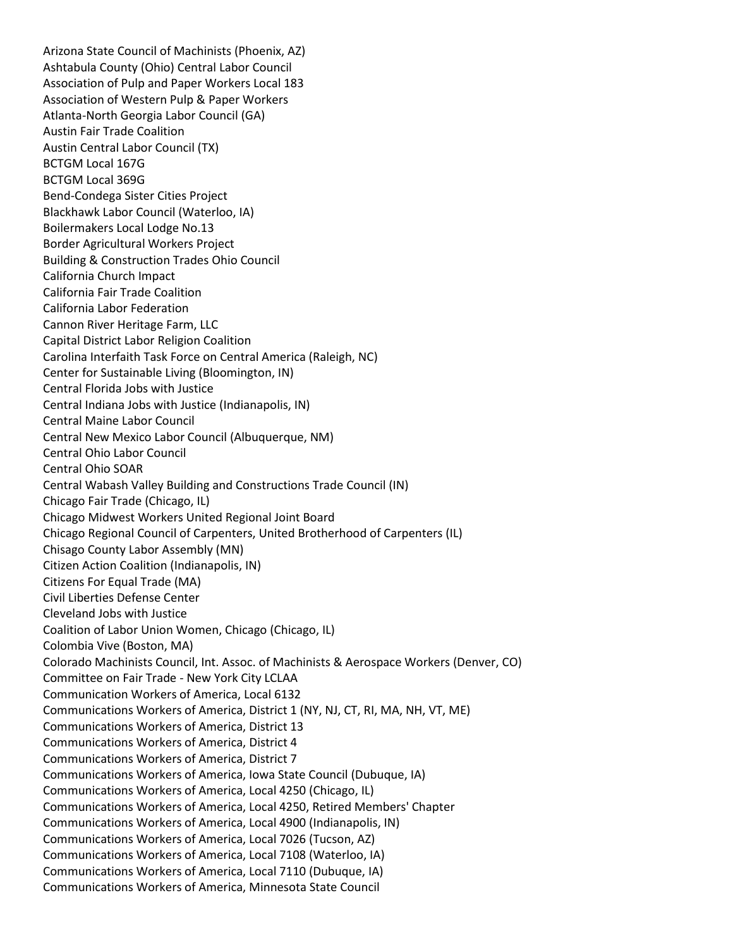Arizona State Council of Machinists (Phoenix, AZ) Ashtabula County (Ohio) Central Labor Council Association of Pulp and Paper Workers Local 183 Association of Western Pulp & Paper Workers Atlanta-North Georgia Labor Council (GA) Austin Fair Trade Coalition Austin Central Labor Council (TX) BCTGM Local 167G BCTGM Local 369G Bend-Condega Sister Cities Project Blackhawk Labor Council (Waterloo, IA) Boilermakers Local Lodge No.13 Border Agricultural Workers Project Building & Construction Trades Ohio Council California Church Impact California Fair Trade Coalition California Labor Federation Cannon River Heritage Farm, LLC Capital District Labor Religion Coalition Carolina Interfaith Task Force on Central America (Raleigh, NC) Center for Sustainable Living (Bloomington, IN) Central Florida Jobs with Justice Central Indiana Jobs with Justice (Indianapolis, IN) Central Maine Labor Council Central New Mexico Labor Council (Albuquerque, NM) Central Ohio Labor Council Central Ohio SOAR Central Wabash Valley Building and Constructions Trade Council (IN) Chicago Fair Trade (Chicago, IL) Chicago Midwest Workers United Regional Joint Board Chicago Regional Council of Carpenters, United Brotherhood of Carpenters (IL) Chisago County Labor Assembly (MN) Citizen Action Coalition (Indianapolis, IN) Citizens For Equal Trade (MA) Civil Liberties Defense Center Cleveland Jobs with Justice Coalition of Labor Union Women, Chicago (Chicago, IL) Colombia Vive (Boston, MA) Colorado Machinists Council, Int. Assoc. of Machinists & Aerospace Workers (Denver, CO) Committee on Fair Trade - New York City LCLAA Communication Workers of America, Local 6132 Communications Workers of America, District 1 (NY, NJ, CT, RI, MA, NH, VT, ME) Communications Workers of America, District 13 Communications Workers of America, District 4 Communications Workers of America, District 7 Communications Workers of America, Iowa State Council (Dubuque, IA) Communications Workers of America, Local 4250 (Chicago, IL) Communications Workers of America, Local 4250, Retired Members' Chapter Communications Workers of America, Local 4900 (Indianapolis, IN) Communications Workers of America, Local 7026 (Tucson, AZ) Communications Workers of America, Local 7108 (Waterloo, IA) Communications Workers of America, Local 7110 (Dubuque, IA) Communications Workers of America, Minnesota State Council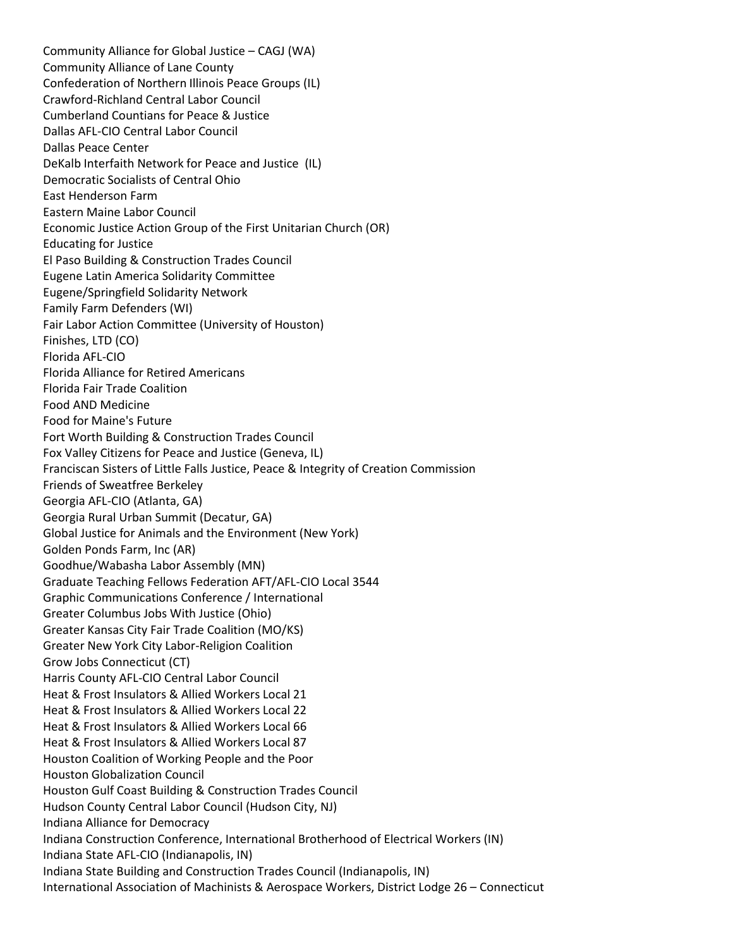Community Alliance for Global Justice – CAGJ (WA) Community Alliance of Lane County Confederation of Northern Illinois Peace Groups (IL) Crawford-Richland Central Labor Council Cumberland Countians for Peace & Justice Dallas AFL-CIO Central Labor Council Dallas Peace Center DeKalb Interfaith Network for Peace and Justice (IL) Democratic Socialists of Central Ohio East Henderson Farm Eastern Maine Labor Council Economic Justice Action Group of the First Unitarian Church (OR) Educating for Justice El Paso Building & Construction Trades Council Eugene Latin America Solidarity Committee Eugene/Springfield Solidarity Network Family Farm Defenders (WI) Fair Labor Action Committee (University of Houston) Finishes, LTD (CO) Florida AFL-CIO Florida Alliance for Retired Americans Florida Fair Trade Coalition Food AND Medicine Food for Maine's Future Fort Worth Building & Construction Trades Council Fox Valley Citizens for Peace and Justice (Geneva, IL) Franciscan Sisters of Little Falls Justice, Peace & Integrity of Creation Commission Friends of Sweatfree Berkeley Georgia AFL-CIO (Atlanta, GA) Georgia Rural Urban Summit (Decatur, GA) Global Justice for Animals and the Environment (New York) Golden Ponds Farm, Inc (AR) Goodhue/Wabasha Labor Assembly (MN) Graduate Teaching Fellows Federation AFT/AFL-CIO Local 3544 Graphic Communications Conference / International Greater Columbus Jobs With Justice (Ohio) Greater Kansas City Fair Trade Coalition (MO/KS) Greater New York City Labor-Religion Coalition Grow Jobs Connecticut (CT) Harris County AFL-CIO Central Labor Council Heat & Frost Insulators & Allied Workers Local 21 Heat & Frost Insulators & Allied Workers Local 22 Heat & Frost Insulators & Allied Workers Local 66 Heat & Frost Insulators & Allied Workers Local 87 Houston Coalition of Working People and the Poor Houston Globalization Council Houston Gulf Coast Building & Construction Trades Council Hudson County Central Labor Council (Hudson City, NJ) Indiana Alliance for Democracy Indiana Construction Conference, International Brotherhood of Electrical Workers (IN) Indiana State AFL-CIO (Indianapolis, IN) Indiana State Building and Construction Trades Council (Indianapolis, IN) International Association of Machinists & Aerospace Workers, District Lodge 26 – Connecticut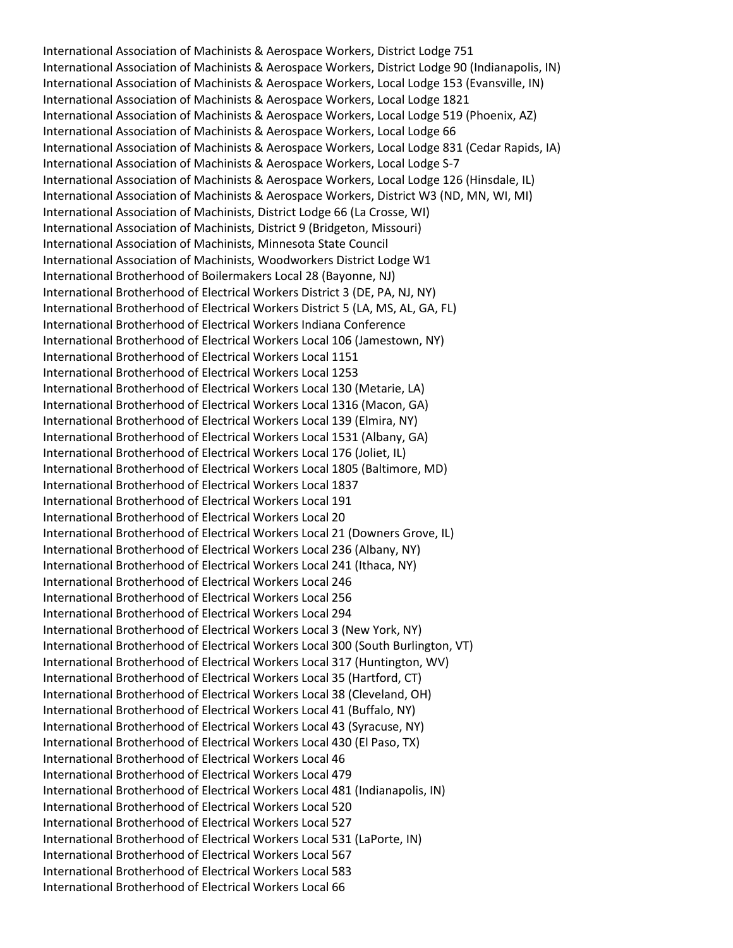International Association of Machinists & Aerospace Workers, District Lodge 751 International Association of Machinists & Aerospace Workers, District Lodge 90 (Indianapolis, IN) International Association of Machinists & Aerospace Workers, Local Lodge 153 (Evansville, IN) International Association of Machinists & Aerospace Workers, Local Lodge 1821 International Association of Machinists & Aerospace Workers, Local Lodge 519 (Phoenix, AZ) International Association of Machinists & Aerospace Workers, Local Lodge 66 International Association of Machinists & Aerospace Workers, Local Lodge 831 (Cedar Rapids, IA) International Association of Machinists & Aerospace Workers, Local Lodge S-7 International Association of Machinists & Aerospace Workers, Local Lodge 126 (Hinsdale, IL) International Association of Machinists & Aerospace Workers, District W3 (ND, MN, WI, MI) International Association of Machinists, District Lodge 66 (La Crosse, WI) International Association of Machinists, District 9 (Bridgeton, Missouri) International Association of Machinists, Minnesota State Council International Association of Machinists, Woodworkers District Lodge W1 International Brotherhood of Boilermakers Local 28 (Bayonne, NJ) International Brotherhood of Electrical Workers District 3 (DE, PA, NJ, NY) International Brotherhood of Electrical Workers District 5 (LA, MS, AL, GA, FL) International Brotherhood of Electrical Workers Indiana Conference International Brotherhood of Electrical Workers Local 106 (Jamestown, NY) International Brotherhood of Electrical Workers Local 1151 International Brotherhood of Electrical Workers Local 1253 International Brotherhood of Electrical Workers Local 130 (Metarie, LA) International Brotherhood of Electrical Workers Local 1316 (Macon, GA) International Brotherhood of Electrical Workers Local 139 (Elmira, NY) International Brotherhood of Electrical Workers Local 1531 (Albany, GA) International Brotherhood of Electrical Workers Local 176 (Joliet, IL) International Brotherhood of Electrical Workers Local 1805 (Baltimore, MD) International Brotherhood of Electrical Workers Local 1837 International Brotherhood of Electrical Workers Local 191 International Brotherhood of Electrical Workers Local 20 International Brotherhood of Electrical Workers Local 21 (Downers Grove, IL) International Brotherhood of Electrical Workers Local 236 (Albany, NY) International Brotherhood of Electrical Workers Local 241 (Ithaca, NY) International Brotherhood of Electrical Workers Local 246 International Brotherhood of Electrical Workers Local 256 International Brotherhood of Electrical Workers Local 294 International Brotherhood of Electrical Workers Local 3 (New York, NY) International Brotherhood of Electrical Workers Local 300 (South Burlington, VT) International Brotherhood of Electrical Workers Local 317 (Huntington, WV) International Brotherhood of Electrical Workers Local 35 (Hartford, CT) International Brotherhood of Electrical Workers Local 38 (Cleveland, OH) International Brotherhood of Electrical Workers Local 41 (Buffalo, NY) International Brotherhood of Electrical Workers Local 43 (Syracuse, NY) International Brotherhood of Electrical Workers Local 430 (El Paso, TX) International Brotherhood of Electrical Workers Local 46 International Brotherhood of Electrical Workers Local 479 International Brotherhood of Electrical Workers Local 481 (Indianapolis, IN) International Brotherhood of Electrical Workers Local 520 International Brotherhood of Electrical Workers Local 527 International Brotherhood of Electrical Workers Local 531 (LaPorte, IN) International Brotherhood of Electrical Workers Local 567 International Brotherhood of Electrical Workers Local 583 International Brotherhood of Electrical Workers Local 66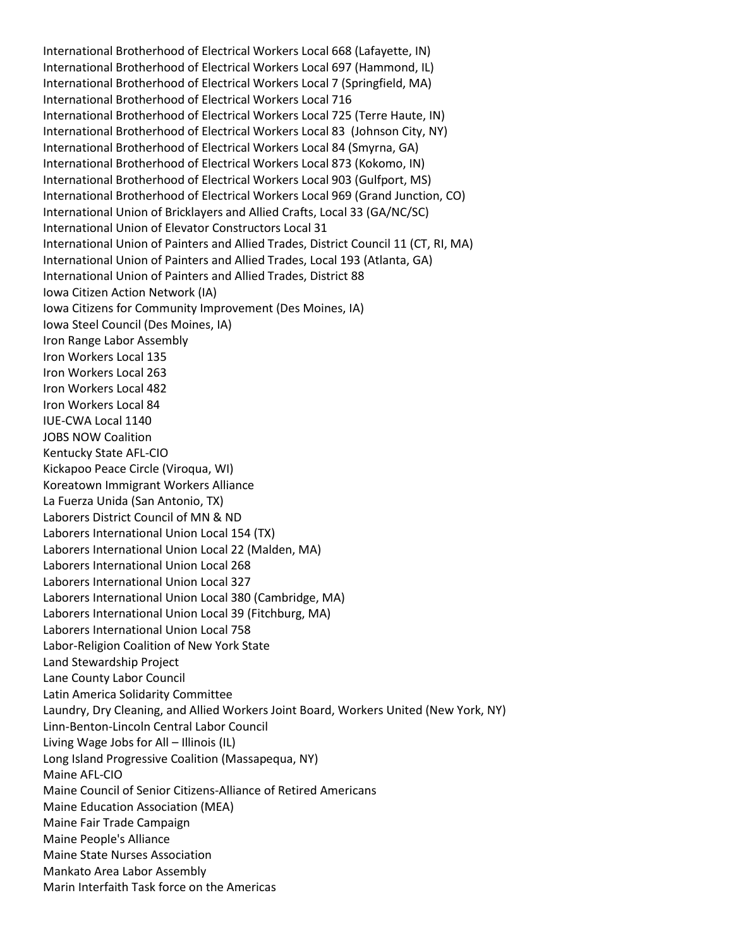International Brotherhood of Electrical Workers Local 668 (Lafayette, IN) International Brotherhood of Electrical Workers Local 697 (Hammond, IL) International Brotherhood of Electrical Workers Local 7 (Springfield, MA) International Brotherhood of Electrical Workers Local 716 International Brotherhood of Electrical Workers Local 725 (Terre Haute, IN) International Brotherhood of Electrical Workers Local 83 (Johnson City, NY) International Brotherhood of Electrical Workers Local 84 (Smyrna, GA) International Brotherhood of Electrical Workers Local 873 (Kokomo, IN) International Brotherhood of Electrical Workers Local 903 (Gulfport, MS) International Brotherhood of Electrical Workers Local 969 (Grand Junction, CO) International Union of Bricklayers and Allied Crafts, Local 33 (GA/NC/SC) International Union of Elevator Constructors Local 31 International Union of Painters and Allied Trades, District Council 11 (CT, RI, MA) International Union of Painters and Allied Trades, Local 193 (Atlanta, GA) International Union of Painters and Allied Trades, District 88 Iowa Citizen Action Network (IA) Iowa Citizens for Community Improvement (Des Moines, IA) Iowa Steel Council (Des Moines, IA) Iron Range Labor Assembly Iron Workers Local 135 Iron Workers Local 263 Iron Workers Local 482 Iron Workers Local 84 IUE-CWA Local 1140 JOBS NOW Coalition Kentucky State AFL-CIO Kickapoo Peace Circle (Viroqua, WI) Koreatown Immigrant Workers Alliance La Fuerza Unida (San Antonio, TX) Laborers District Council of MN & ND Laborers International Union Local 154 (TX) Laborers International Union Local 22 (Malden, MA) Laborers International Union Local 268 Laborers International Union Local 327 Laborers International Union Local 380 (Cambridge, MA) Laborers International Union Local 39 (Fitchburg, MA) Laborers International Union Local 758 Labor-Religion Coalition of New York State Land Stewardship Project Lane County Labor Council Latin America Solidarity Committee Laundry, Dry Cleaning, and Allied Workers Joint Board, Workers United (New York, NY) Linn-Benton-Lincoln Central Labor Council Living Wage Jobs for All – Illinois (IL) Long Island Progressive Coalition (Massapequa, NY) Maine AFL-CIO Maine Council of Senior Citizens-Alliance of Retired Americans Maine Education Association (MEA) Maine Fair Trade Campaign Maine People's Alliance Maine State Nurses Association Mankato Area Labor Assembly Marin Interfaith Task force on the Americas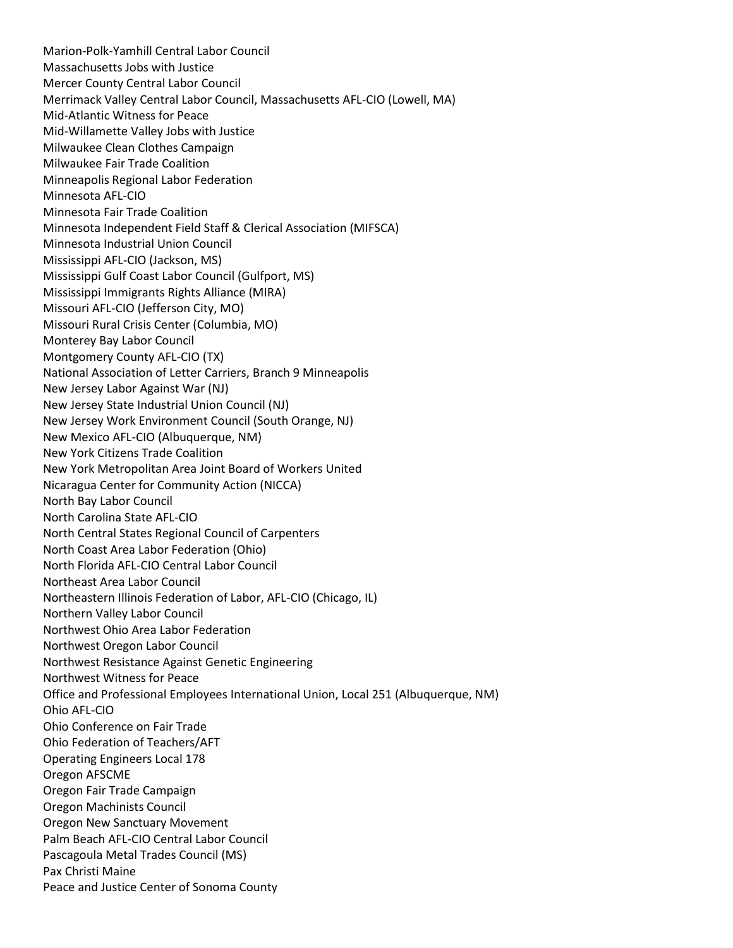Marion-Polk-Yamhill Central Labor Council Massachusetts Jobs with Justice Mercer County Central Labor Council Merrimack Valley Central Labor Council, Massachusetts AFL-CIO (Lowell, MA) Mid-Atlantic Witness for Peace Mid-Willamette Valley Jobs with Justice Milwaukee Clean Clothes Campaign Milwaukee Fair Trade Coalition Minneapolis Regional Labor Federation Minnesota AFL-CIO Minnesota Fair Trade Coalition Minnesota Independent Field Staff & Clerical Association (MIFSCA) Minnesota Industrial Union Council Mississippi AFL-CIO (Jackson, MS) Mississippi Gulf Coast Labor Council (Gulfport, MS) Mississippi Immigrants Rights Alliance (MIRA) Missouri AFL-CIO (Jefferson City, MO) Missouri Rural Crisis Center (Columbia, MO) Monterey Bay Labor Council Montgomery County AFL-CIO (TX) National Association of Letter Carriers, Branch 9 Minneapolis New Jersey Labor Against War (NJ) New Jersey State Industrial Union Council (NJ) New Jersey Work Environment Council (South Orange, NJ) New Mexico AFL-CIO (Albuquerque, NM) New York Citizens Trade Coalition New York Metropolitan Area Joint Board of Workers United Nicaragua Center for Community Action (NICCA) North Bay Labor Council North Carolina State AFL-CIO North Central States Regional Council of Carpenters North Coast Area Labor Federation (Ohio) North Florida AFL-CIO Central Labor Council Northeast Area Labor Council Northeastern Illinois Federation of Labor, AFL-CIO (Chicago, IL) Northern Valley Labor Council Northwest Ohio Area Labor Federation Northwest Oregon Labor Council Northwest Resistance Against Genetic Engineering Northwest Witness for Peace Office and Professional Employees International Union, Local 251 (Albuquerque, NM) Ohio AFL-CIO Ohio Conference on Fair Trade Ohio Federation of Teachers/AFT Operating Engineers Local 178 Oregon AFSCME Oregon Fair Trade Campaign Oregon Machinists Council Oregon New Sanctuary Movement Palm Beach AFL-CIO Central Labor Council Pascagoula Metal Trades Council (MS) Pax Christi Maine Peace and Justice Center of Sonoma County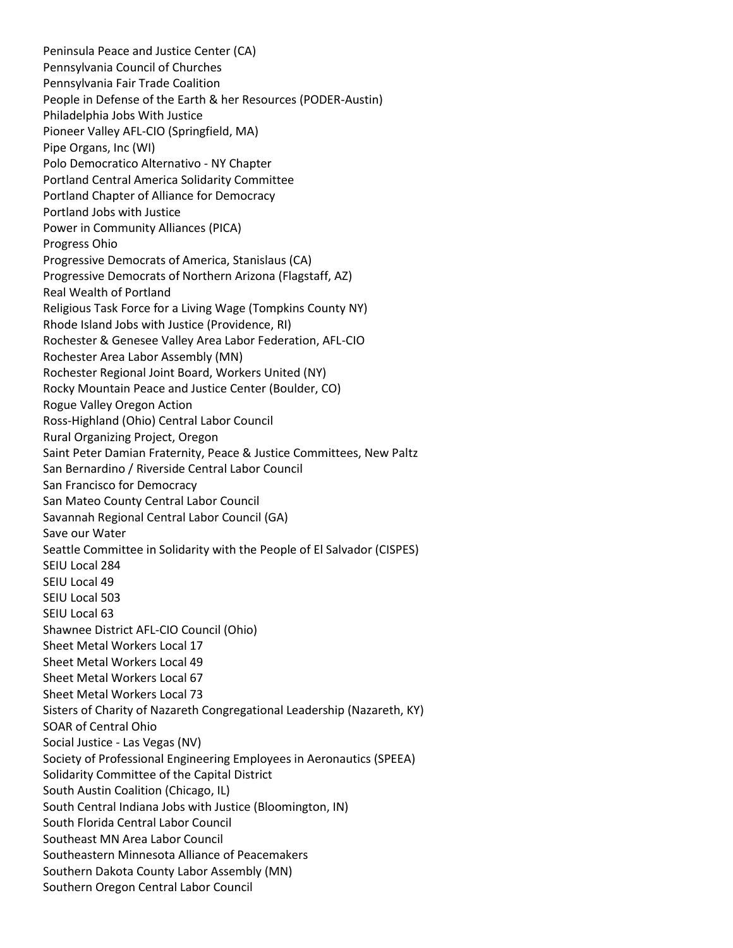Peninsula Peace and Justice Center (CA) Pennsylvania Council of Churches Pennsylvania Fair Trade Coalition People in Defense of the Earth & her Resources (PODER-Austin) Philadelphia Jobs With Justice Pioneer Valley AFL-CIO (Springfield, MA) Pipe Organs, Inc (WI) Polo Democratico Alternativo - NY Chapter Portland Central America Solidarity Committee Portland Chapter of Alliance for Democracy Portland Jobs with Justice Power in Community Alliances (PICA) Progress Ohio Progressive Democrats of America, Stanislaus (CA) Progressive Democrats of Northern Arizona (Flagstaff, AZ) Real Wealth of Portland Religious Task Force for a Living Wage (Tompkins County NY) Rhode Island Jobs with Justice (Providence, RI) Rochester & Genesee Valley Area Labor Federation, AFL-CIO Rochester Area Labor Assembly (MN) Rochester Regional Joint Board, Workers United (NY) Rocky Mountain Peace and Justice Center (Boulder, CO) Rogue Valley Oregon Action Ross-Highland (Ohio) Central Labor Council Rural Organizing Project, Oregon Saint Peter Damian Fraternity, Peace & Justice Committees, New Paltz San Bernardino / Riverside Central Labor Council San Francisco for Democracy San Mateo County Central Labor Council Savannah Regional Central Labor Council (GA) Save our Water Seattle Committee in Solidarity with the People of El Salvador (CISPES) SEIU Local 284 SEIU Local 49 SEIU Local 503 SEIU Local 63 Shawnee District AFL-CIO Council (Ohio) Sheet Metal Workers Local 17 Sheet Metal Workers Local 49 Sheet Metal Workers Local 67 Sheet Metal Workers Local 73 Sisters of Charity of Nazareth Congregational Leadership (Nazareth, KY) SOAR of Central Ohio Social Justice - Las Vegas (NV) Society of Professional Engineering Employees in Aeronautics (SPEEA) Solidarity Committee of the Capital District South Austin Coalition (Chicago, IL) South Central Indiana Jobs with Justice (Bloomington, IN) South Florida Central Labor Council Southeast MN Area Labor Council Southeastern Minnesota Alliance of Peacemakers Southern Dakota County Labor Assembly (MN) Southern Oregon Central Labor Council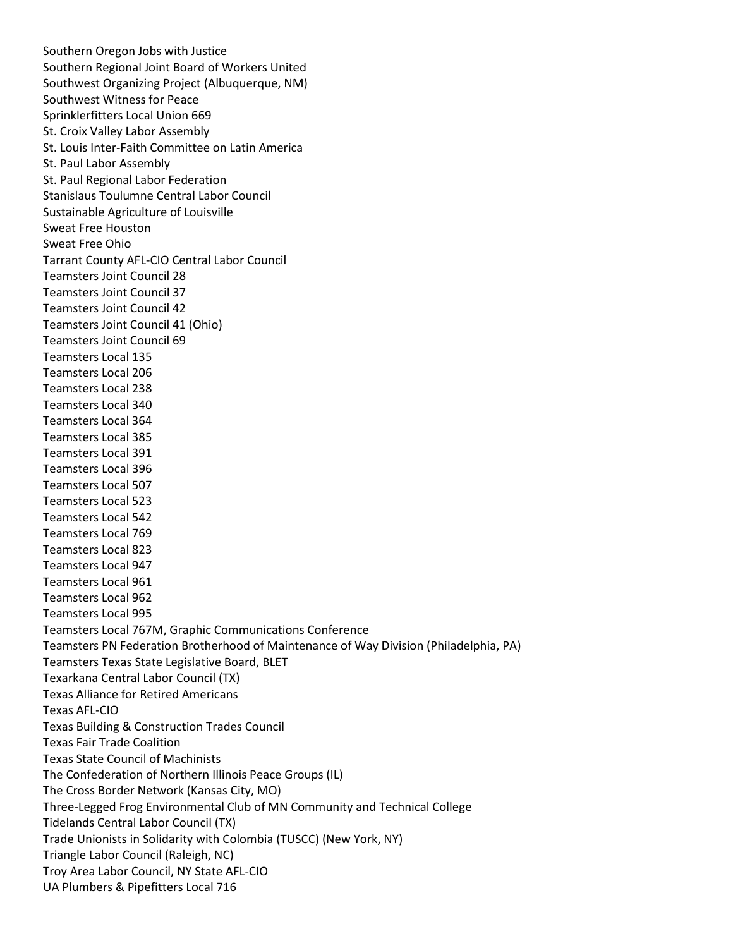Southern Oregon Jobs with Justice Southern Regional Joint Board of Workers United Southwest Organizing Project (Albuquerque, NM) Southwest Witness for Peace Sprinklerfitters Local Union 669 St. Croix Valley Labor Assembly St. Louis Inter-Faith Committee on Latin America St. Paul Labor Assembly St. Paul Regional Labor Federation Stanislaus Toulumne Central Labor Council Sustainable Agriculture of Louisville Sweat Free Houston Sweat Free Ohio Tarrant County AFL-CIO Central Labor Council Teamsters Joint Council 28 Teamsters Joint Council 37 Teamsters Joint Council 42 Teamsters Joint Council 41 (Ohio) Teamsters Joint Council 69 Teamsters Local 135 Teamsters Local 206 Teamsters Local 238 Teamsters Local 340 Teamsters Local 364 Teamsters Local 385 Teamsters Local 391 Teamsters Local 396 Teamsters Local 507 Teamsters Local 523 Teamsters Local 542 Teamsters Local 769 Teamsters Local 823 Teamsters Local 947 Teamsters Local 961 Teamsters Local 962 Teamsters Local 995 Teamsters Local 767M, Graphic Communications Conference Teamsters PN Federation Brotherhood of Maintenance of Way Division (Philadelphia, PA) Teamsters Texas State Legislative Board, BLET Texarkana Central Labor Council (TX) Texas Alliance for Retired Americans Texas AFL-CIO Texas Building & Construction Trades Council Texas Fair Trade Coalition Texas State Council of Machinists The Confederation of Northern Illinois Peace Groups (IL) The Cross Border Network (Kansas City, MO) Three-Legged Frog Environmental Club of MN Community and Technical College Tidelands Central Labor Council (TX) Trade Unionists in Solidarity with Colombia (TUSCC) (New York, NY) Triangle Labor Council (Raleigh, NC) Troy Area Labor Council, NY State AFL-CIO UA Plumbers & Pipefitters Local 716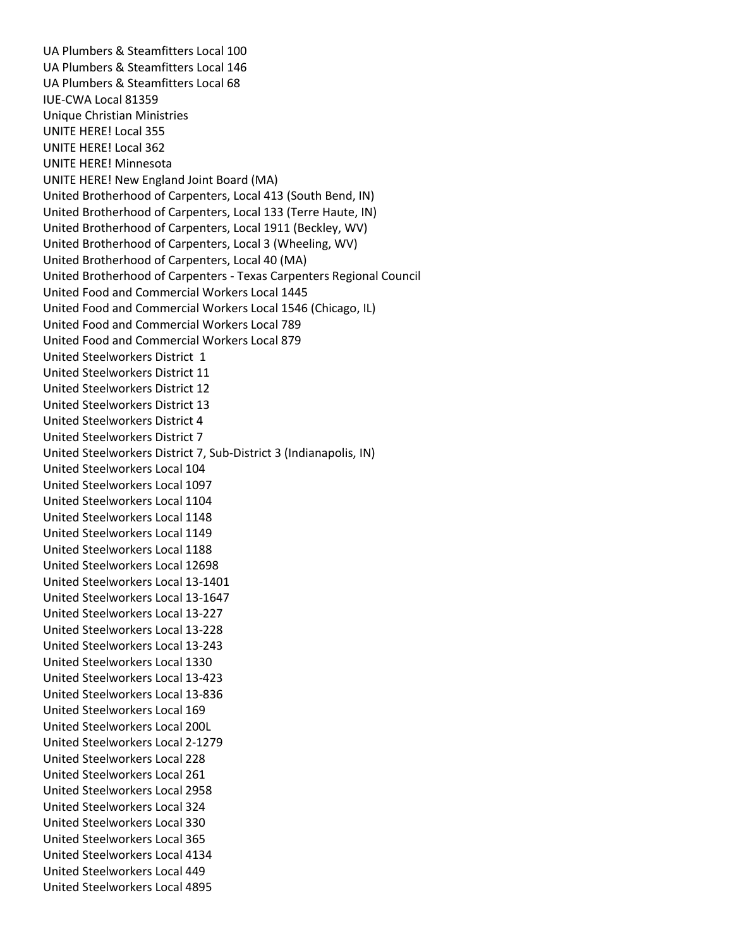UA Plumbers & Steamfitters Local 100 UA Plumbers & Steamfitters Local 146 UA Plumbers & Steamfitters Local 68 IUE-CWA Local 81359 Unique Christian Ministries UNITE HERE! Local 355 UNITE HERE! Local 362 UNITE HERE! Minnesota UNITE HERE! New England Joint Board (MA) United Brotherhood of Carpenters, Local 413 (South Bend, IN) United Brotherhood of Carpenters, Local 133 (Terre Haute, IN) United Brotherhood of Carpenters, Local 1911 (Beckley, WV) United Brotherhood of Carpenters, Local 3 (Wheeling, WV) United Brotherhood of Carpenters, Local 40 (MA) United Brotherhood of Carpenters - Texas Carpenters Regional Council United Food and Commercial Workers Local 1445 United Food and Commercial Workers Local 1546 (Chicago, IL) United Food and Commercial Workers Local 789 United Food and Commercial Workers Local 879 United Steelworkers District 1 United Steelworkers District 11 United Steelworkers District 12 United Steelworkers District 13 United Steelworkers District 4 United Steelworkers District 7 United Steelworkers District 7, Sub-District 3 (Indianapolis, IN) United Steelworkers Local 104 United Steelworkers Local 1097 United Steelworkers Local 1104 United Steelworkers Local 1148 United Steelworkers Local 1149 United Steelworkers Local 1188 United Steelworkers Local 12698 United Steelworkers Local 13-1401 United Steelworkers Local 13-1647 United Steelworkers Local 13-227 United Steelworkers Local 13-228 United Steelworkers Local 13-243 United Steelworkers Local 1330 United Steelworkers Local 13-423 United Steelworkers Local 13-836 United Steelworkers Local 169 United Steelworkers Local 200L United Steelworkers Local 2-1279 United Steelworkers Local 228 United Steelworkers Local 261 United Steelworkers Local 2958 United Steelworkers Local 324 United Steelworkers Local 330 United Steelworkers Local 365 United Steelworkers Local 4134 United Steelworkers Local 449 United Steelworkers Local 4895